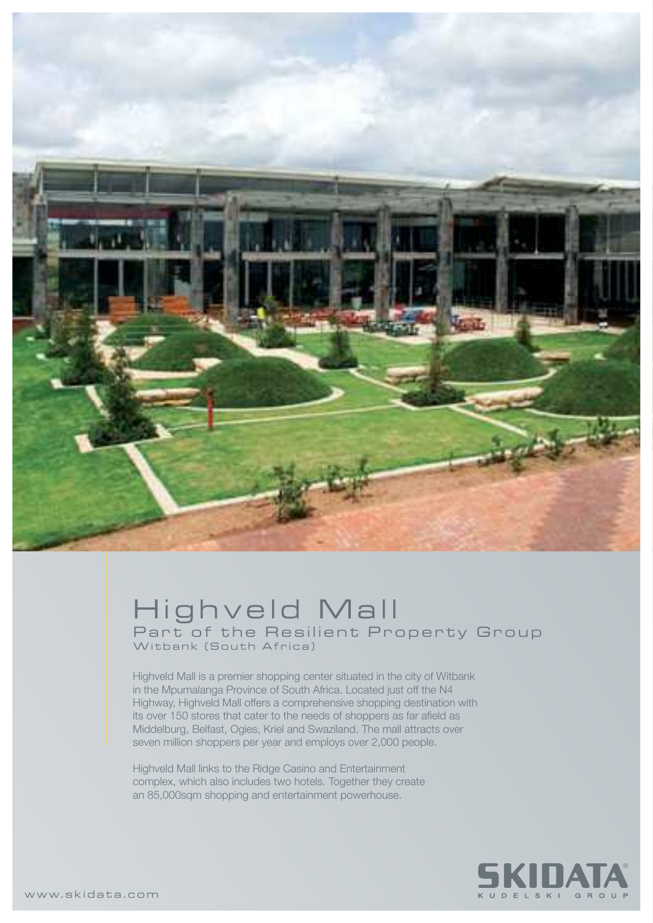

## Highveld Mall Part of the Resilient Property Group Witbank (South Africa)

Highveld Mall is a premier shopping center situated in the city of Witbank in the Mpumalanga Province of South Africa. Located just off the N4 Highway, Highveld Mall offers a comprehensive shopping destination with its over 150 stores that cater to the needs of shoppers as far afield as Middelburg, Belfast, Ogies, Kriel and Swaziland. The mall attracts over seven million shoppers per year and employs over 2,000 people.

Highveld Mall links to the Ridge Casino and Entertainment complex, which also includes two hotels. Together they create an 85,000sqm shopping and entertainment powerhouse.